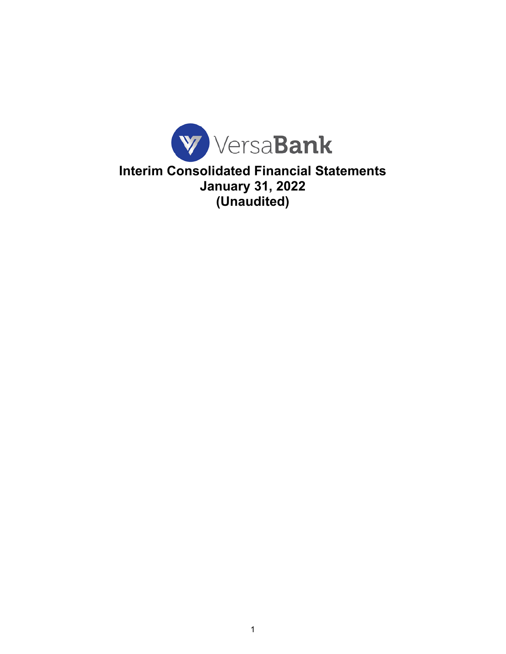

**Interim Consolidated Financial Statements January 31, 2022 (Unaudited)**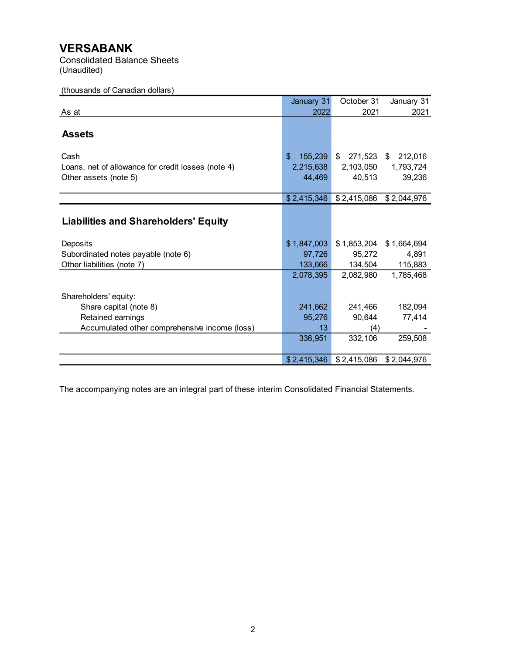Consolidated Balance Sheets (Unaudited)

# (thousands of Canadian dollars)

|                                                    | January 31               | October 31    | January 31    |
|----------------------------------------------------|--------------------------|---------------|---------------|
| As at                                              | 2022                     | 2021          | 2021          |
|                                                    |                          |               |               |
| <b>Assets</b>                                      |                          |               |               |
| Cash                                               | $\mathbf{\$}$<br>155,239 | \$<br>271,523 | 212,016<br>\$ |
| Loans, net of allowance for credit losses (note 4) | 2,215,638                | 2,103,050     | 1,793,724     |
| Other assets (note 5)                              | 44,469                   | 40,513        | 39,236        |
|                                                    |                          |               |               |
|                                                    | \$2,415,346              | \$2,415,086   | \$2,044,976   |
|                                                    |                          |               |               |
| <b>Liabilities and Shareholders' Equity</b>        |                          |               |               |
|                                                    |                          |               |               |
| Deposits                                           | \$1,847,003              | \$1,853,204   | \$1,664,694   |
| Subordinated notes payable (note 6)                | 97,726                   | 95,272        | 4,891         |
| Other liabilities (note 7)                         | 133,666                  | 134,504       | 115,883       |
|                                                    | 2,078,395                | 2,082,980     | 1,785,468     |
| Shareholders' equity:                              |                          |               |               |
| Share capital (note 8)                             | 241,662                  | 241,466       | 182,094       |
| Retained earnings                                  | 95,276                   | 90,644        | 77,414        |
| Accumulated other comprehensive income (loss)      | 13                       | (4)           |               |
|                                                    | 336,951                  | 332,106       | 259,508       |
|                                                    |                          |               |               |
|                                                    | \$2,415,346              | \$2,415,086   | \$2,044,976   |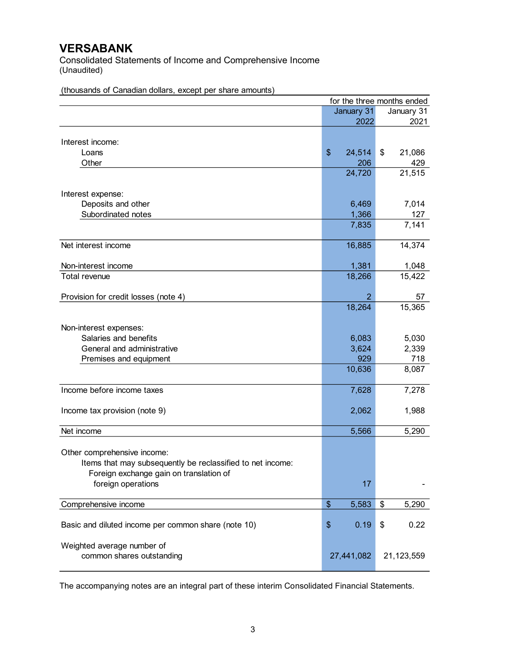Consolidated Statements of Income and Comprehensive Income (Unaudited)

|                                                            |                            | for the three months ended |
|------------------------------------------------------------|----------------------------|----------------------------|
|                                                            | January 31                 | January 31                 |
|                                                            | 2022                       | 2021                       |
|                                                            |                            |                            |
| Interest income:                                           |                            |                            |
| Loans                                                      | \$<br>24,514               | \$<br>21,086               |
| Other                                                      | 206                        | 429                        |
|                                                            | 24,720                     | 21,515                     |
|                                                            |                            |                            |
| Interest expense:                                          |                            |                            |
| Deposits and other                                         | 6,469                      | 7,014                      |
| Subordinated notes                                         | 1,366                      | 127                        |
|                                                            | 7,835                      | 7,141                      |
|                                                            |                            |                            |
| Net interest income                                        | 16,885                     | 14,374                     |
|                                                            |                            |                            |
| Non-interest income                                        | 1,381                      | 1,048                      |
| Total revenue                                              | 18,266                     | 15,422                     |
|                                                            |                            |                            |
| Provision for credit losses (note 4)                       | 2                          | 57                         |
|                                                            | 18,264                     | 15,365                     |
|                                                            |                            |                            |
| Non-interest expenses:                                     |                            |                            |
| Salaries and benefits                                      | 6,083                      | 5,030                      |
| General and administrative                                 | 3,624                      | 2,339                      |
| Premises and equipment                                     | 929                        | 718                        |
|                                                            | 10,636                     | 8,087                      |
|                                                            |                            |                            |
| Income before income taxes                                 | 7,628                      | 7,278                      |
|                                                            |                            |                            |
| Income tax provision (note 9)                              | 2,062                      | 1,988                      |
|                                                            |                            |                            |
| Net income                                                 | 5,566                      | 5,290                      |
|                                                            |                            |                            |
| Other comprehensive income:                                |                            |                            |
| Items that may subsequently be reclassified to net income: |                            |                            |
| Foreign exchange gain on translation of                    |                            |                            |
| foreign operations                                         | 17                         |                            |
|                                                            |                            |                            |
| Comprehensive income                                       | $\boldsymbol{\$}$<br>5,583 | \$<br>5,290                |
|                                                            |                            |                            |
| Basic and diluted income per common share (note 10)        | \$<br>0.19                 | \$<br>0.22                 |
|                                                            |                            |                            |
| Weighted average number of                                 |                            |                            |
| common shares outstanding                                  | 27,441,082                 | 21,123,559                 |
|                                                            |                            |                            |

(thousands of Canadian dollars, except per share amounts)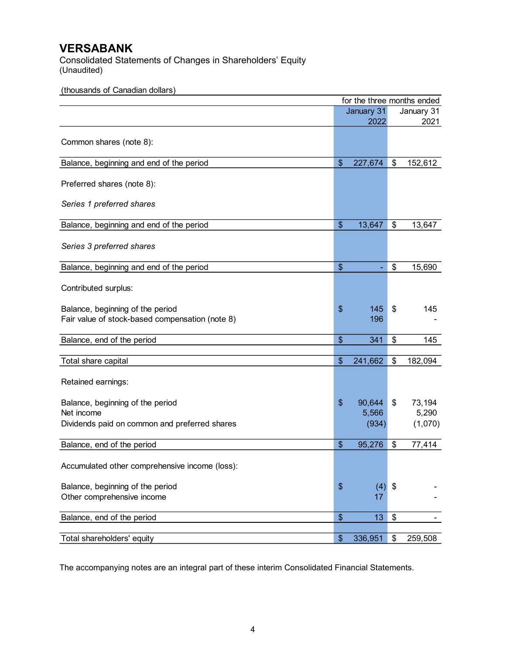Consolidated Statements of Changes in Shareholders' Equity (Unaudited)

(thousands of Canadian dollars)

|                                                 | for the three months ended |               |
|-------------------------------------------------|----------------------------|---------------|
|                                                 | January 31                 | January 31    |
|                                                 | 2022                       | 2021          |
| Common shares (note 8):                         |                            |               |
|                                                 |                            |               |
| Balance, beginning and end of the period        | \$<br>227,674              | \$<br>152,612 |
| Preferred shares (note 8):                      |                            |               |
| Series 1 preferred shares                       |                            |               |
| Balance, beginning and end of the period        | \$<br>13,647               | \$<br>13,647  |
| Series 3 preferred shares                       |                            |               |
| Balance, beginning and end of the period        | \$                         | \$<br>15,690  |
| Contributed surplus:                            |                            |               |
| Balance, beginning of the period                | \$<br>145                  | \$<br>145     |
| Fair value of stock-based compensation (note 8) | 196                        |               |
| Balance, end of the period                      | \$<br>341                  | \$<br>145     |
|                                                 |                            |               |
| Total share capital                             | \$<br>241,662              | \$<br>182,094 |
| Retained earnings:                              |                            |               |
| Balance, beginning of the period                | \$<br>90,644               | \$<br>73,194  |
| Net income                                      | 5,566                      | 5,290         |
| Dividends paid on common and preferred shares   | (934)                      | (1,070)       |
| Balance, end of the period                      | \$<br>95,276               | \$<br>77,414  |
| Accumulated other comprehensive income (loss):  |                            |               |
| Balance, beginning of the period                | \$<br>(4)                  | \$            |
| Other comprehensive income                      | 17                         |               |
| Balance, end of the period                      | \$<br>13                   | \$            |
| Total shareholders' equity                      | \$<br>336,951              | \$<br>259,508 |
|                                                 |                            |               |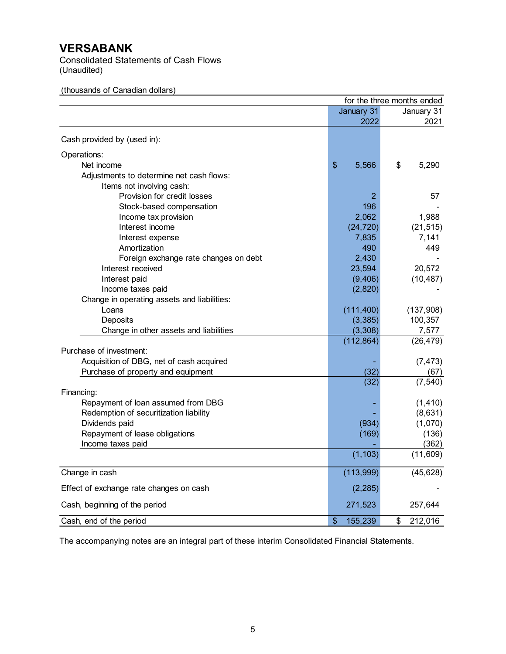Consolidated Statements of Cash Flows (Unaudited)

# (thousands of Canadian dollars)

|                                             |               | for the three months ended |
|---------------------------------------------|---------------|----------------------------|
|                                             | January 31    | January 31                 |
|                                             | 2022          | 2021                       |
| Cash provided by (used in):                 |               |                            |
| Operations:                                 |               |                            |
| Net income                                  | \$<br>5,566   | \$<br>5,290                |
| Adjustments to determine net cash flows:    |               |                            |
| Items not involving cash:                   |               |                            |
| Provision for credit losses                 | 2             | 57                         |
| Stock-based compensation                    | 196           |                            |
| Income tax provision                        | 2,062         | 1,988                      |
| Interest income                             | (24, 720)     | (21, 515)                  |
| Interest expense                            | 7,835         | 7,141                      |
| Amortization                                | 490           | 449                        |
| Foreign exchange rate changes on debt       | 2,430         |                            |
| Interest received                           | 23,594        | 20,572                     |
| Interest paid                               | (9, 406)      | (10, 487)                  |
| Income taxes paid                           | (2,820)       |                            |
| Change in operating assets and liabilities: |               |                            |
| Loans                                       | (111, 400)    | (137,908)                  |
| Deposits                                    | (3, 385)      | 100,357                    |
| Change in other assets and liabilities      | (3, 308)      | 7,577                      |
|                                             | (112, 864)    | (26, 479)                  |
| Purchase of investment:                     |               |                            |
| Acquisition of DBG, net of cash acquired    |               | (7, 473)                   |
| Purchase of property and equipment          | (32)          | (67)                       |
|                                             | (32)          | (7, 540)                   |
| Financing:                                  |               |                            |
| Repayment of loan assumed from DBG          |               | (1, 410)                   |
| Redemption of securitization liability      |               | (8,631)                    |
| Dividends paid                              | (934)         | (1,070)                    |
| Repayment of lease obligations              | (169)         | (136)                      |
| Income taxes paid                           |               | (362)                      |
|                                             | (1, 103)      | (11,609)                   |
| Change in cash                              | (113,999)     | (45, 628)                  |
| Effect of exchange rate changes on cash     | (2, 285)      |                            |
| Cash, beginning of the period               | 271,523       | 257,644                    |
| Cash, end of the period                     | \$<br>155,239 | 212,016<br>\$              |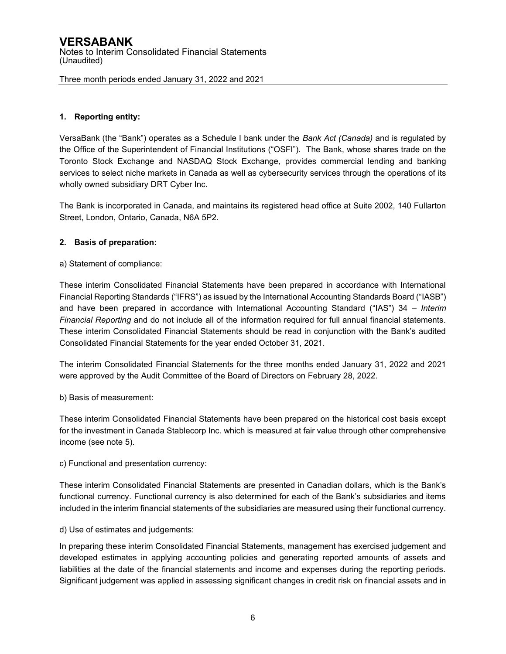# **1. Reporting entity:**

VersaBank (the "Bank") operates as a Schedule I bank under the *Bank Act (Canada)* and is regulated by the Office of the Superintendent of Financial Institutions ("OSFI"). The Bank, whose shares trade on the Toronto Stock Exchange and NASDAQ Stock Exchange, provides commercial lending and banking services to select niche markets in Canada as well as cybersecurity services through the operations of its wholly owned subsidiary DRT Cyber Inc.

The Bank is incorporated in Canada, and maintains its registered head office at Suite 2002, 140 Fullarton Street, London, Ontario, Canada, N6A 5P2.

## **2. Basis of preparation:**

a) Statement of compliance:

These interim Consolidated Financial Statements have been prepared in accordance with International Financial Reporting Standards ("IFRS") as issued by the International Accounting Standards Board ("IASB") and have been prepared in accordance with International Accounting Standard ("IAS") 34 *– Interim Financial Reporting* and do not include all of the information required for full annual financial statements*.*  These interim Consolidated Financial Statements should be read in conjunction with the Bank's audited Consolidated Financial Statements for the year ended October 31, 2021.

The interim Consolidated Financial Statements for the three months ended January 31, 2022 and 2021 were approved by the Audit Committee of the Board of Directors on February 28, 2022.

b) Basis of measurement:

These interim Consolidated Financial Statements have been prepared on the historical cost basis except for the investment in Canada Stablecorp Inc. which is measured at fair value through other comprehensive income (see note 5).

c) Functional and presentation currency:

These interim Consolidated Financial Statements are presented in Canadian dollars, which is the Bank's functional currency. Functional currency is also determined for each of the Bank's subsidiaries and items included in the interim financial statements of the subsidiaries are measured using their functional currency.

d) Use of estimates and judgements:

In preparing these interim Consolidated Financial Statements, management has exercised judgement and developed estimates in applying accounting policies and generating reported amounts of assets and liabilities at the date of the financial statements and income and expenses during the reporting periods. Significant judgement was applied in assessing significant changes in credit risk on financial assets and in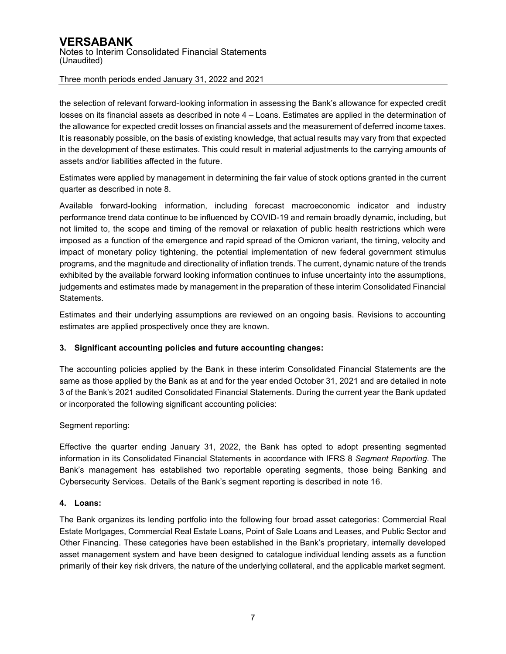the selection of relevant forward-looking information in assessing the Bank's allowance for expected credit losses on its financial assets as described in note 4 – Loans. Estimates are applied in the determination of the allowance for expected credit losses on financial assets and the measurement of deferred income taxes. It is reasonably possible, on the basis of existing knowledge, that actual results may vary from that expected in the development of these estimates. This could result in material adjustments to the carrying amounts of assets and/or liabilities affected in the future.

Estimates were applied by management in determining the fair value of stock options granted in the current quarter as described in note 8.

Available forward-looking information, including forecast macroeconomic indicator and industry performance trend data continue to be influenced by COVID-19 and remain broadly dynamic, including, but not limited to, the scope and timing of the removal or relaxation of public health restrictions which were imposed as a function of the emergence and rapid spread of the Omicron variant, the timing, velocity and impact of monetary policy tightening, the potential implementation of new federal government stimulus programs, and the magnitude and directionality of inflation trends. The current, dynamic nature of the trends exhibited by the available forward looking information continues to infuse uncertainty into the assumptions, judgements and estimates made by management in the preparation of these interim Consolidated Financial Statements.

Estimates and their underlying assumptions are reviewed on an ongoing basis. Revisions to accounting estimates are applied prospectively once they are known.

# **3. Significant accounting policies and future accounting changes:**

The accounting policies applied by the Bank in these interim Consolidated Financial Statements are the same as those applied by the Bank as at and for the year ended October 31, 2021 and are detailed in note 3 of the Bank's 2021 audited Consolidated Financial Statements. During the current year the Bank updated or incorporated the following significant accounting policies:

## Segment reporting:

Effective the quarter ending January 31, 2022, the Bank has opted to adopt presenting segmented information in its Consolidated Financial Statements in accordance with IFRS 8 *Segment Reporting*. The Bank's management has established two reportable operating segments, those being Banking and Cybersecurity Services. Details of the Bank's segment reporting is described in note 16.

## **4. Loans:**

The Bank organizes its lending portfolio into the following four broad asset categories: Commercial Real Estate Mortgages, Commercial Real Estate Loans, Point of Sale Loans and Leases, and Public Sector and Other Financing. These categories have been established in the Bank's proprietary, internally developed asset management system and have been designed to catalogue individual lending assets as a function primarily of their key risk drivers, the nature of the underlying collateral, and the applicable market segment.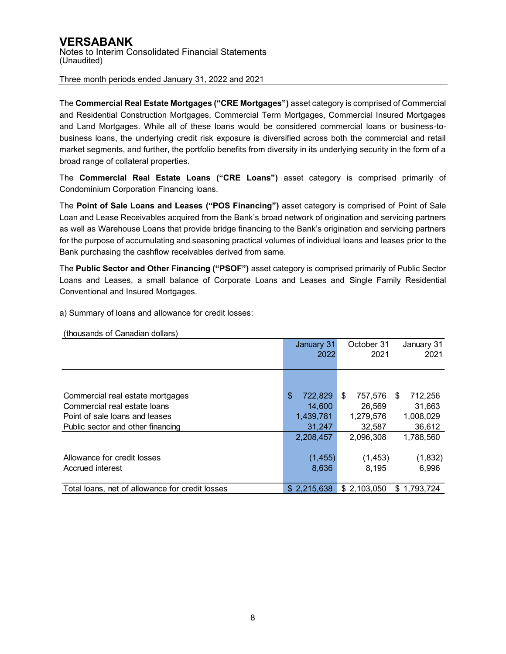The **Commercial Real Estate Mortgages ("CRE Mortgages")** asset category is comprised of Commercial and Residential Construction Mortgages, Commercial Term Mortgages, Commercial Insured Mortgages and Land Mortgages. While all of these loans would be considered commercial loans or business-tobusiness loans, the underlying credit risk exposure is diversified across both the commercial and retail market segments, and further, the portfolio benefits from diversity in its underlying security in the form of a broad range of collateral properties.

The **Commercial Real Estate Loans ("CRE Loans")** asset category is comprised primarily of Condominium Corporation Financing loans.

The **Point of Sale Loans and Leases ("POS Financing")** asset category is comprised of Point of Sale Loan and Lease Receivables acquired from the Bank's broad network of origination and servicing partners as well as Warehouse Loans that provide bridge financing to the Bank's origination and servicing partners for the purpose of accumulating and seasoning practical volumes of individual loans and leases prior to the Bank purchasing the cashflow receivables derived from same.

The **Public Sector and Other Financing ("PSOF")** asset category is comprised primarily of Public Sector Loans and Leases, a small balance of Corporate Loans and Leases and Single Family Residential Conventional and Insured Mortgages.

a) Summary of loans and allowance for credit losses:

|                                                 | January 31    | October 31   | January 31   |
|-------------------------------------------------|---------------|--------------|--------------|
|                                                 | 2022          | 2021         | 2021         |
|                                                 |               |              |              |
|                                                 |               |              |              |
|                                                 |               |              |              |
| Commercial real estate mortgages                | \$<br>722,829 | 757,576<br>S | 712,256<br>S |
| Commercial real estate loans                    | 14,600        | 26,569       | 31,663       |
| Point of sale loans and leases                  | 1,439,781     | 1,279,576    | 1,008,029    |
| Public sector and other financing               | 31,247        | 32,587       | 36,612       |
|                                                 | 2,208,457     | 2.096.308    | 1,788,560    |
|                                                 |               |              |              |
| Allowance for credit losses                     | (1, 455)      | (1, 453)     | (1,832)      |
| Accrued interest                                | 8,636         | 8.195        | 6.996        |
|                                                 |               |              |              |
| Total loans, net of allowance for credit losses | \$2,215,638   | \$2,103,050  | \$1,793,724  |

(thousands of Canadian dollars)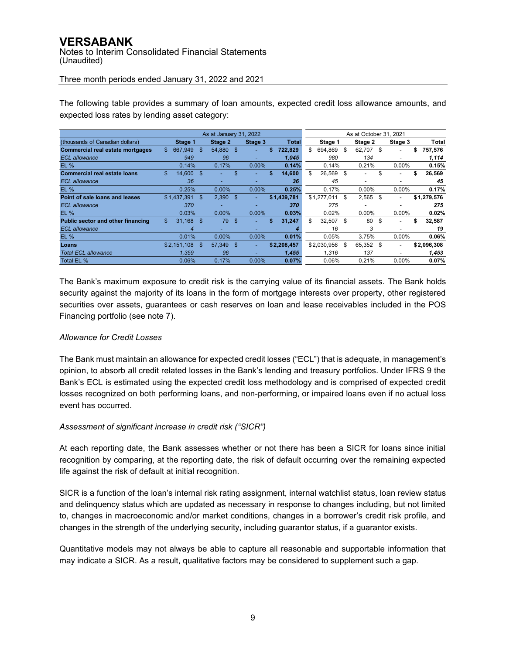# **VERSABANK** Notes to Interim Consolidated Financial Statements (Unaudited)

Three month periods ended January 31, 2022 and 2021

|                                         |               | As at January 31, 2022 |     |          |    |              | As at October 31, 2021 |             |    |          |      |                          |    |             |
|-----------------------------------------|---------------|------------------------|-----|----------|----|--------------|------------------------|-------------|----|----------|------|--------------------------|----|-------------|
| (thousands of Canadian dollars)         | Stage 1       | Stage 2                |     | Stage 3  |    | <b>Total</b> |                        | Stage 1     |    | Stage 2  |      | Stage 3                  |    | Total       |
| <b>Commercial real estate mortgages</b> | \$<br>667,949 | \$<br>54,880 \$        |     | ۰.       | \$ | 722.829      | \$                     | 694,869     | \$ | 62,707   | - \$ | $\overline{\phantom{a}}$ | \$ | 757,576     |
| <b>ECL</b> allowance                    | 949           | 96                     |     |          |    | 1.045        |                        | 980         |    | 134      |      |                          |    | 1,114       |
| <b>EL %</b>                             | 0.14%         | 0.17%                  |     | 0.00%    |    | 0.14%        |                        | 0.14%       |    | 0.21%    |      | $0.00\%$                 |    | 0.15%       |
| <b>Commercial real estate loans</b>     | \$<br>14.600  | \$                     | \$  |          | S  | 14,600       | \$                     | 26,569      | \$ |          | \$   |                          | \$ | 26,569      |
| <b>ECL</b> allowance                    | 36            | -                      |     |          |    | 36           |                        | 45          |    |          |      | -                        |    | 45          |
| <b>EL %</b>                             | 0.25%         | 0.00%                  |     | $0.00\%$ |    | 0.25%        |                        | 0.17%       |    | 0.00%    |      | $0.00\%$                 |    | 0.17%       |
| Point of sale loans and leases          | \$1.437.391   | \$<br>2,390            | \$. | ۰.       |    | \$1,439,781  |                        | \$1.277.011 | \$ | 2,565    | - \$ | $\overline{\phantom{a}}$ |    | \$1,279,576 |
| <b>ECL</b> allowance                    | 370           | -                      |     |          |    | 370          |                        | 275         |    | -        |      | -                        |    | 275         |
| <b>EL %</b>                             | 0.03%         | 0.00%                  |     | 0.00%    |    | 0.03%        |                        | 0.02%       |    | $0.00\%$ |      | $0.00\%$                 |    | 0.02%       |
| Public sector and other financing       | \$<br>31,168  | \$<br>79               | \$  |          | \$ | 31,247       | \$                     | 32,507      | \$ | 80       | \$   | $\overline{\phantom{a}}$ | \$ | 32,587      |
| <b>ECL</b> allowance                    | 4             |                        |     |          |    |              |                        | 16          |    | 3        |      |                          |    | 19          |
| <b>EL %</b>                             | 0.01%         | 0.00%                  |     | 0.00%    |    | 0.01%        |                        | 0.05%       |    | 3.75%    |      | $0.00\%$                 |    | 0.06%       |
| Loans                                   | \$2,151,108   | \$<br>57,349           | \$  | ۰.       |    | \$2,208,457  |                        | \$2,030,956 | \$ | 65.352   | - \$ | $\overline{\phantom{a}}$ |    | \$2,096,308 |
| <b>Total ECL allowance</b>              | 1.359         | 96                     |     |          |    | 1,455        |                        | 1.316       |    | 137      |      |                          |    | 1,453       |
| Total EL %                              | 0.06%         | 0.17%                  |     | 0.00%    |    | 0.07%        |                        | 0.06%       |    | 0.21%    |      | $0.00\%$                 |    | 0.07%       |

The following table provides a summary of loan amounts, expected credit loss allowance amounts, and expected loss rates by lending asset category:

The Bank's maximum exposure to credit risk is the carrying value of its financial assets. The Bank holds security against the majority of its loans in the form of mortgage interests over property, other registered securities over assets, guarantees or cash reserves on loan and lease receivables included in the POS Financing portfolio (see note 7).

# *Allowance for Credit Losses*

The Bank must maintain an allowance for expected credit losses ("ECL") that is adequate, in management's opinion, to absorb all credit related losses in the Bank's lending and treasury portfolios. Under IFRS 9 the Bank's ECL is estimated using the expected credit loss methodology and is comprised of expected credit losses recognized on both performing loans, and non-performing, or impaired loans even if no actual loss event has occurred.

# *Assessment of significant increase in credit risk ("SICR")*

At each reporting date, the Bank assesses whether or not there has been a SICR for loans since initial recognition by comparing, at the reporting date, the risk of default occurring over the remaining expected life against the risk of default at initial recognition.

SICR is a function of the loan's internal risk rating assignment, internal watchlist status, loan review status and delinquency status which are updated as necessary in response to changes including, but not limited to, changes in macroeconomic and/or market conditions, changes in a borrower's credit risk profile, and changes in the strength of the underlying security, including guarantor status, if a guarantor exists.

Quantitative models may not always be able to capture all reasonable and supportable information that may indicate a SICR. As a result, qualitative factors may be considered to supplement such a gap.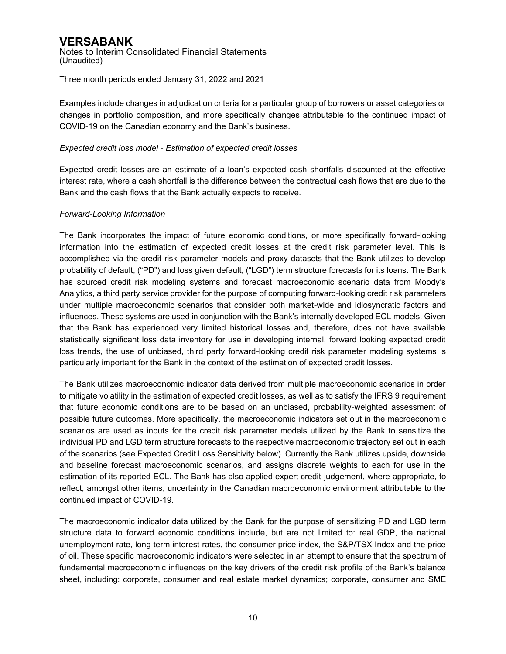Examples include changes in adjudication criteria for a particular group of borrowers or asset categories or changes in portfolio composition, and more specifically changes attributable to the continued impact of COVID-19 on the Canadian economy and the Bank's business.

# *Expected credit loss model - Estimation of expected credit losses*

Expected credit losses are an estimate of a loan's expected cash shortfalls discounted at the effective interest rate, where a cash shortfall is the difference between the contractual cash flows that are due to the Bank and the cash flows that the Bank actually expects to receive.

# *Forward-Looking Information*

The Bank incorporates the impact of future economic conditions, or more specifically forward-looking information into the estimation of expected credit losses at the credit risk parameter level. This is accomplished via the credit risk parameter models and proxy datasets that the Bank utilizes to develop probability of default, ("PD") and loss given default, ("LGD") term structure forecasts for its loans. The Bank has sourced credit risk modeling systems and forecast macroeconomic scenario data from Moody's Analytics, a third party service provider for the purpose of computing forward-looking credit risk parameters under multiple macroeconomic scenarios that consider both market-wide and idiosyncratic factors and influences. These systems are used in conjunction with the Bank's internally developed ECL models. Given that the Bank has experienced very limited historical losses and, therefore, does not have available statistically significant loss data inventory for use in developing internal, forward looking expected credit loss trends, the use of unbiased, third party forward-looking credit risk parameter modeling systems is particularly important for the Bank in the context of the estimation of expected credit losses.

The Bank utilizes macroeconomic indicator data derived from multiple macroeconomic scenarios in order to mitigate volatility in the estimation of expected credit losses, as well as to satisfy the IFRS 9 requirement that future economic conditions are to be based on an unbiased, probability-weighted assessment of possible future outcomes. More specifically, the macroeconomic indicators set out in the macroeconomic scenarios are used as inputs for the credit risk parameter models utilized by the Bank to sensitize the individual PD and LGD term structure forecasts to the respective macroeconomic trajectory set out in each of the scenarios (see Expected Credit Loss Sensitivity below). Currently the Bank utilizes upside, downside and baseline forecast macroeconomic scenarios, and assigns discrete weights to each for use in the estimation of its reported ECL. The Bank has also applied expert credit judgement, where appropriate, to reflect, amongst other items, uncertainty in the Canadian macroeconomic environment attributable to the continued impact of COVID-19.

The macroeconomic indicator data utilized by the Bank for the purpose of sensitizing PD and LGD term structure data to forward economic conditions include, but are not limited to: real GDP, the national unemployment rate, long term interest rates, the consumer price index, the S&P/TSX Index and the price of oil. These specific macroeconomic indicators were selected in an attempt to ensure that the spectrum of fundamental macroeconomic influences on the key drivers of the credit risk profile of the Bank's balance sheet, including: corporate, consumer and real estate market dynamics; corporate, consumer and SME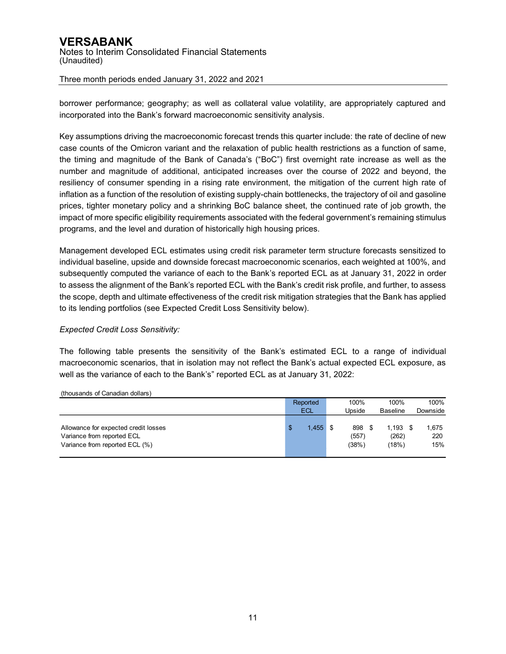# **VERSABANK** Notes to Interim Consolidated Financial Statements (Unaudited)

Three month periods ended January 31, 2022 and 2021

borrower performance; geography; as well as collateral value volatility, are appropriately captured and incorporated into the Bank's forward macroeconomic sensitivity analysis.

Key assumptions driving the macroeconomic forecast trends this quarter include: the rate of decline of new case counts of the Omicron variant and the relaxation of public health restrictions as a function of same, the timing and magnitude of the Bank of Canada's ("BoC") first overnight rate increase as well as the number and magnitude of additional, anticipated increases over the course of 2022 and beyond, the resiliency of consumer spending in a rising rate environment, the mitigation of the current high rate of inflation as a function of the resolution of existing supply-chain bottlenecks, the trajectory of oil and gasoline prices, tighter monetary policy and a shrinking BoC balance sheet, the continued rate of job growth, the impact of more specific eligibility requirements associated with the federal government's remaining stimulus programs, and the level and duration of historically high housing prices.

Management developed ECL estimates using credit risk parameter term structure forecasts sensitized to individual baseline, upside and downside forecast macroeconomic scenarios, each weighted at 100%, and subsequently computed the variance of each to the Bank's reported ECL as at January 31, 2022 in order to assess the alignment of the Bank's reported ECL with the Bank's credit risk profile, and further, to assess the scope, depth and ultimate effectiveness of the credit risk mitigation strategies that the Bank has applied to its lending portfolios (see Expected Credit Loss Sensitivity below).

# *Expected Credit Loss Sensitivity:*

The following table presents the sensitivity of the Bank's estimated ECL to a range of individual macroeconomic scenarios, that in isolation may not reflect the Bank's actual expected ECL exposure, as well as the variance of each to the Bank's" reported ECL as at January 31, 2022:

| (thousands of Canadian dollars) |  |
|---------------------------------|--|
|                                 |  |

|                                                                                                      | Reported         | 100%                  | 100%                         | 100%                |
|------------------------------------------------------------------------------------------------------|------------------|-----------------------|------------------------------|---------------------|
|                                                                                                      | <b>ECL</b>       | Upside                | <b>Baseline</b>              | Downside            |
| Allowance for expected credit losses<br>Variance from reported ECL<br>Variance from reported ECL (%) | $1.455$ \$<br>\$ | 898<br>(557)<br>(38%) | $1.193$ \$<br>(262)<br>(18%) | 1.675<br>220<br>15% |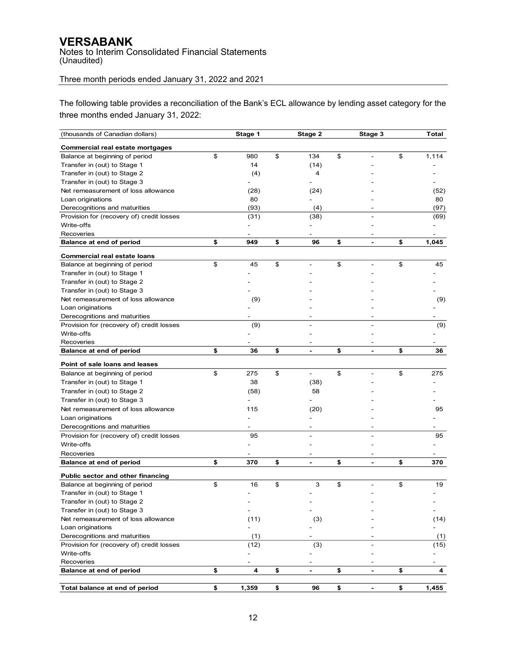Notes to Interim Consolidated Financial Statements (Unaudited)

# Three month periods ended January 31, 2022 and 2021

The following table provides a reconciliation of the Bank's ECL allowance by lending asset category for the three months ended January 31, 2022:

| (thousands of Canadian dollars)           | Stage 1     | Stage 2                        | Stage 3              | Total       |
|-------------------------------------------|-------------|--------------------------------|----------------------|-------------|
| Commercial real estate mortgages          |             |                                |                      |             |
| Balance at beginning of period            | \$<br>980   | \$<br>134                      | \$                   | \$<br>1,114 |
| Transfer in (out) to Stage 1              | 14          | (14)                           |                      |             |
| Transfer in (out) to Stage 2              | (4)         | 4                              |                      |             |
| Transfer in (out) to Stage 3              |             |                                |                      |             |
| Net remeasurement of loss allowance       | (28)        | (24)                           |                      | (52)        |
| Loan originations                         | 80          |                                |                      | 80          |
| Derecognitions and maturities             | (93)        | (4)                            |                      | (97)        |
| Provision for (recovery of) credit losses | (31)        | (38)                           |                      | (69)        |
| Write-offs                                |             |                                |                      |             |
| Recoveries                                |             |                                |                      |             |
| Balance at end of period                  | \$<br>949   | \$<br>96                       | \$<br>$\blacksquare$ | \$<br>1,045 |
| <b>Commercial real estate loans</b>       |             |                                |                      |             |
| Balance at beginning of period            | \$<br>45    | \$                             | \$                   | \$<br>45    |
| Transfer in (out) to Stage 1              |             |                                |                      |             |
| Transfer in (out) to Stage 2              |             |                                |                      |             |
| Transfer in (out) to Stage 3              |             |                                |                      |             |
| Net remeasurement of loss allowance       | (9)         |                                |                      | (9)         |
| Loan originations                         |             |                                |                      |             |
| Derecognitions and maturities             |             |                                |                      |             |
| Provision for (recovery of) credit losses | (9)         |                                |                      | (9)         |
| Write-offs                                |             |                                |                      |             |
| Recoveries                                |             |                                |                      |             |
| <b>Balance at end of period</b>           | \$<br>36    | \$<br>$\frac{1}{2}$            | \$<br>$\blacksquare$ | \$<br>36    |
| Point of sale loans and leases            |             |                                |                      |             |
| Balance at beginning of period            | \$<br>275   | \$<br>$\overline{\phantom{a}}$ | \$                   | \$<br>275   |
| Transfer in (out) to Stage 1              | 38          | (38)                           |                      |             |
| Transfer in (out) to Stage 2              | (58)        | 58                             |                      |             |
| Transfer in (out) to Stage 3              |             |                                |                      |             |
| Net remeasurement of loss allowance       | 115         | (20)                           |                      | 95          |
|                                           |             |                                |                      |             |
| Loan originations                         |             |                                |                      |             |
| Derecognitions and maturities             |             |                                |                      |             |
| Provision for (recovery of) credit losses | 95          |                                |                      | 95          |
| Write-offs                                |             |                                |                      |             |
| Recoveries                                |             |                                |                      |             |
| Balance at end of period                  | \$<br>370   | \$<br>$\blacksquare$           | \$<br>$\blacksquare$ | \$<br>370   |
| <b>Public sector and other financing</b>  |             |                                |                      |             |
| Balance at beginning of period            | \$<br>16    | \$<br>3                        | \$                   | \$<br>19    |
| Transfer in (out) to Stage 1              |             |                                |                      |             |
| Transfer in (out) to Stage 2              |             |                                |                      |             |
| Transfer in (out) to Stage 3              |             |                                |                      |             |
| Net remeasurement of loss allowance       | (11)        | (3)                            |                      | (14)        |
| Loan originations                         |             |                                |                      |             |
| Derecognitions and maturities             | (1)         |                                |                      | (1)         |
| Provision for (recovery of) credit losses | (12)        | (3)                            |                      | (15)        |
| Write-offs                                |             |                                |                      |             |
| Recoveries<br>Balance at end of period    | \$<br>4     | \$<br>$\blacksquare$           | \$                   | \$<br>4     |
|                                           |             |                                | $\blacksquare$       |             |
| Total balance at end of period            | \$<br>1,359 | \$<br>96                       | \$                   | \$<br>1,455 |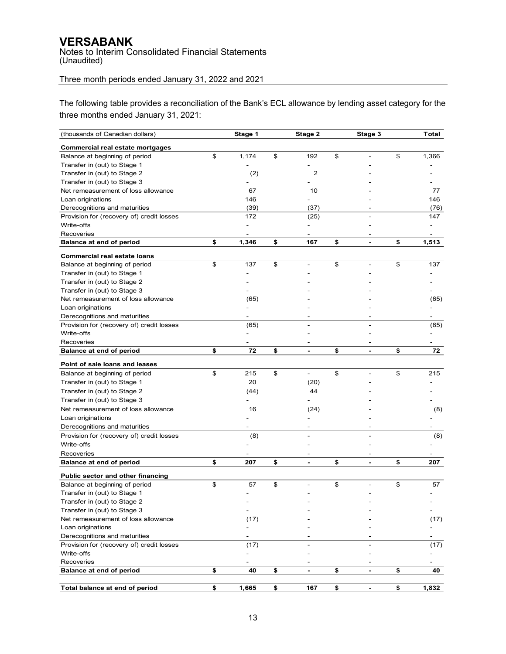Notes to Interim Consolidated Financial Statements (Unaudited)

# Three month periods ended January 31, 2022 and 2021

The following table provides a reconciliation of the Bank's ECL allowance by lending asset category for the three months ended January 31, 2021:

| (thousands of Canadian dollars)           | Stage 1     | Stage 2                        | Stage 3                  | Total                    |
|-------------------------------------------|-------------|--------------------------------|--------------------------|--------------------------|
| Commercial real estate mortgages          |             |                                |                          |                          |
| Balance at beginning of period            | \$<br>1,174 | \$<br>192                      | \$                       | \$<br>1,366              |
| Transfer in (out) to Stage 1              |             |                                |                          |                          |
| Transfer in (out) to Stage 2              | (2)         | $\overline{2}$                 |                          |                          |
| Transfer in (out) to Stage 3              |             |                                |                          |                          |
| Net remeasurement of loss allowance       | 67          | 10                             |                          | 77                       |
| Loan originations                         | 146         |                                |                          | 146                      |
| Derecognitions and maturities             | (39)        | (37)                           |                          | (76)                     |
| Provision for (recovery of) credit losses | 172         | (25)                           |                          | 147                      |
| Write-offs                                |             |                                |                          |                          |
| Recoveries                                |             |                                | $\overline{\phantom{a}}$ | $\overline{\phantom{a}}$ |
| Balance at end of period                  | \$<br>1,346 | \$<br>167                      | \$<br>L.                 | \$<br>1,513              |
| <b>Commercial real estate loans</b>       |             |                                |                          |                          |
| Balance at beginning of period            | \$<br>137   | \$                             | \$                       | \$<br>137                |
| Transfer in (out) to Stage 1              |             |                                |                          |                          |
| Transfer in (out) to Stage 2              |             |                                |                          |                          |
| Transfer in (out) to Stage 3              |             |                                |                          |                          |
| Net remeasurement of loss allowance       | (65)        |                                |                          | (65)                     |
| Loan originations                         |             |                                |                          |                          |
| Derecognitions and maturities             |             |                                |                          |                          |
| Provision for (recovery of) credit losses | (65)        |                                |                          | (65)                     |
| Write-offs                                |             |                                |                          |                          |
| Recoveries                                |             |                                |                          |                          |
| Balance at end of period                  | \$<br>72    | \$<br>$\blacksquare$           | \$<br>$\blacksquare$     | \$<br>72                 |
|                                           |             |                                |                          |                          |
| Point of sale loans and leases            |             |                                |                          |                          |
| Balance at beginning of period            | \$<br>215   | \$<br>$\overline{\phantom{a}}$ | \$                       | \$<br>215                |
| Transfer in (out) to Stage 1              | 20          | (20)                           |                          |                          |
| Transfer in (out) to Stage 2              | (44)        | 44                             |                          |                          |
| Transfer in (out) to Stage 3              |             |                                |                          |                          |
| Net remeasurement of loss allowance       | 16          | (24)                           |                          | (8)                      |
| Loan originations                         |             |                                |                          |                          |
| Derecognitions and maturities             |             |                                |                          |                          |
| Provision for (recovery of) credit losses | (8)         |                                |                          | (8)                      |
| Write-offs                                |             |                                |                          |                          |
| Recoveries                                |             |                                |                          |                          |
| Balance at end of period                  | \$<br>207   | \$<br>$\blacksquare$           | \$<br>$\blacksquare$     | \$<br>207                |
| Public sector and other financing         |             |                                |                          |                          |
| Balance at beginning of period            | \$<br>57    | \$                             | \$                       | \$<br>57                 |
| Transfer in (out) to Stage 1              |             |                                |                          |                          |
| Transfer in (out) to Stage 2              |             |                                |                          |                          |
| Transfer in (out) to Stage 3              |             |                                |                          |                          |
| Net remeasurement of loss allowance       | (17)        |                                |                          | (17)                     |
| Loan originations                         |             |                                |                          |                          |
| Derecognitions and maturities             | -           |                                |                          | $\overline{\phantom{0}}$ |
| Provision for (recovery of) credit losses | (17)        |                                |                          | (17)                     |
| Write-offs                                |             |                                |                          |                          |
| Recoveries                                |             |                                |                          |                          |
| Balance at end of period                  | \$<br>40    | \$<br>$\blacksquare$           | \$<br>$\blacksquare$     | \$<br>40                 |
| Total balance at end of period            | \$<br>1,665 | \$<br>167                      | \$                       | \$<br>1,832              |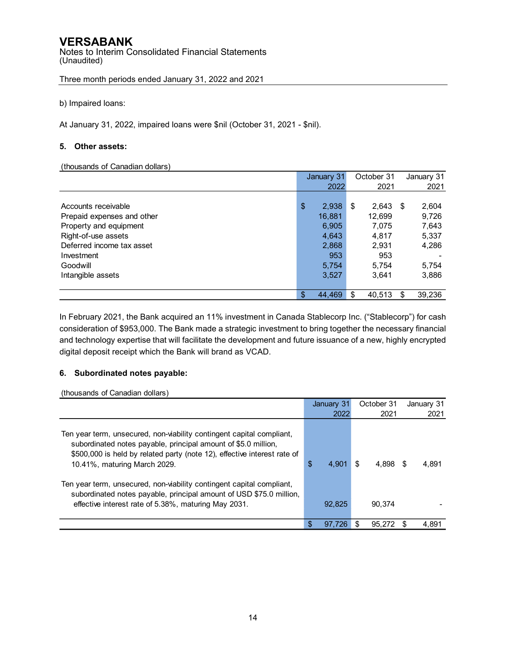Notes to Interim Consolidated Financial Statements (Unaudited)

Three month periods ended January 31, 2022 and 2021

b) Impaired loans:

At January 31, 2022, impaired loans were \$nil (October 31, 2021 - \$nil).

## **5. Other assets:**

(thousands of Canadian dollars)

|                            | January 31   | October 31   |      | January 31 |
|----------------------------|--------------|--------------|------|------------|
|                            | 2022         | 2021         |      | 2021       |
|                            |              |              |      |            |
| Accounts receivable        | \$<br>2,938  | \$<br>2,643  | - \$ | 2,604      |
| Prepaid expenses and other | 16,881       | 12,699       |      | 9,726      |
| Property and equipment     | 6,905        | 7,075        |      | 7,643      |
| Right-of-use assets        | 4,643        | 4,817        |      | 5,337      |
| Deferred income tax asset  | 2,868        | 2,931        |      | 4,286      |
| Investment                 | 953          | 953          |      |            |
| Goodwill                   | 5,754        | 5,754        |      | 5,754      |
| Intangible assets          | 3,527        | 3.641        |      | 3,886      |
|                            |              |              |      |            |
|                            | \$<br>44.469 | \$<br>40.513 | \$   | 39,236     |

In February 2021, the Bank acquired an 11% investment in Canada Stablecorp Inc. ("Stablecorp") for cash consideration of \$953,000. The Bank made a strategic investment to bring together the necessary financial and technology expertise that will facilitate the development and future issuance of a new, highly encrypted digital deposit receipt which the Bank will brand as VCAD.

# **6. Subordinated notes payable:**

(thousands of Canadian dollars)

|                                                                                                                                                                                                                                                     |    | January 31 |     | October 31 |      | January 31 |
|-----------------------------------------------------------------------------------------------------------------------------------------------------------------------------------------------------------------------------------------------------|----|------------|-----|------------|------|------------|
|                                                                                                                                                                                                                                                     |    | 2022       |     | 2021       |      | 2021       |
| Ten year term, unsecured, non-viability contingent capital compliant,<br>subordinated notes payable, principal amount of \$5.0 million,<br>\$500,000 is held by related party (note 12), effective interest rate of<br>10.41%, maturing March 2029. | \$ | 4.901      | \$. | 4.898      | - \$ | 4.891      |
| Ten year term, unsecured, non-viability contingent capital compliant,<br>subordinated notes payable, principal amount of USD \$75.0 million,<br>effective interest rate of 5.38%, maturing May 2031.                                                |    | 92,825     |     | 90.374     |      |            |
|                                                                                                                                                                                                                                                     | S  | 97.726     |     | 95.272     |      | 4.891      |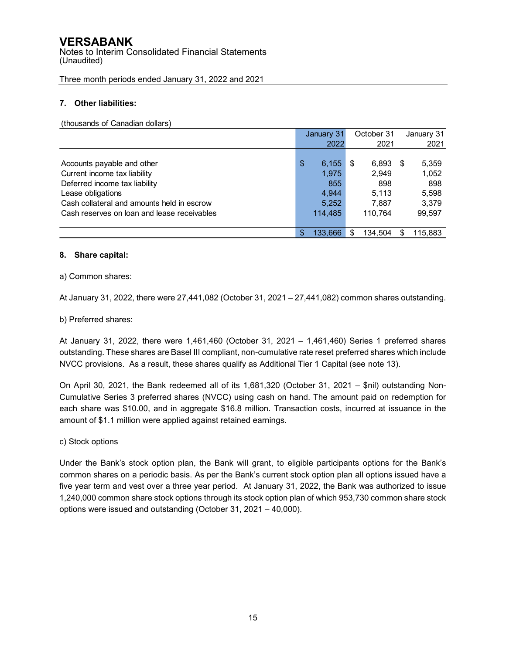Notes to Interim Consolidated Financial Statements (Unaudited)

Three month periods ended January 31, 2022 and 2021

# **7. Other liabilities:**

#### (thousands of Canadian dollars)

|                                             | January 31    |     | October 31 |      | January 31 |
|---------------------------------------------|---------------|-----|------------|------|------------|
|                                             | 2022          |     | 2021       |      | 2021       |
|                                             |               |     |            |      |            |
| Accounts payable and other                  | \$<br>6,155   | \$  | 6,893      | - \$ | 5,359      |
| Current income tax liability                | 1.975         |     | 2.949      |      | 1,052      |
| Deferred income tax liability               | 855           |     | 898        |      | 898        |
| Lease obligations                           | 4.944         |     | 5.113      |      | 5,598      |
| Cash collateral and amounts held in escrow  | 5,252         |     | 7,887      |      | 3,379      |
| Cash reserves on loan and lease receivables | 114.485       |     | 110.764    |      | 99.597     |
|                                             |               |     |            |      |            |
|                                             | \$<br>133.666 | \$. | 134,504    | S    | 115.883    |

## **8. Share capital:**

# a) Common shares:

At January 31, 2022, there were 27,441,082 (October 31, 2021 – 27,441,082) common shares outstanding.

# b) Preferred shares:

At January 31, 2022, there were 1,461,460 (October 31, 2021 – 1,461,460) Series 1 preferred shares outstanding. These shares are Basel III compliant, non-cumulative rate reset preferred shares which include NVCC provisions. As a result, these shares qualify as Additional Tier 1 Capital (see note 13).

On April 30, 2021, the Bank redeemed all of its 1,681,320 (October 31, 2021 – \$nil) outstanding Non-Cumulative Series 3 preferred shares (NVCC) using cash on hand. The amount paid on redemption for each share was \$10.00, and in aggregate \$16.8 million. Transaction costs, incurred at issuance in the amount of \$1.1 million were applied against retained earnings.

## c) Stock options

Under the Bank's stock option plan, the Bank will grant, to eligible participants options for the Bank's common shares on a periodic basis. As per the Bank's current stock option plan all options issued have a five year term and vest over a three year period. At January 31, 2022, the Bank was authorized to issue 1,240,000 common share stock options through its stock option plan of which 953,730 common share stock options were issued and outstanding (October 31, 2021 – 40,000).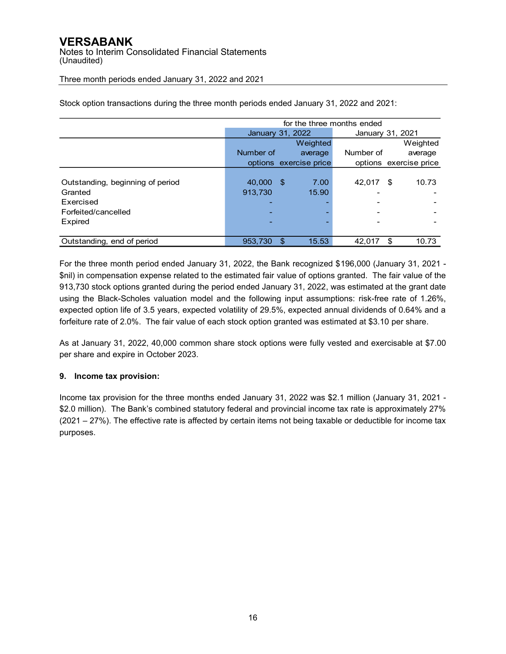Notes to Interim Consolidated Financial Statements (Unaudited)

Three month periods ended January 31, 2022 and 2021

|                                  | for the three months ended |                        |                  |    |                        |  |  |  |  |  |
|----------------------------------|----------------------------|------------------------|------------------|----|------------------------|--|--|--|--|--|
|                                  |                            | January 31, 2022       | January 31, 2021 |    |                        |  |  |  |  |  |
|                                  |                            | Weighted               |                  |    | Weighted               |  |  |  |  |  |
|                                  | Number of                  | average                | Number of        |    | average                |  |  |  |  |  |
|                                  |                            | options exercise price |                  |    | options exercise price |  |  |  |  |  |
|                                  |                            |                        |                  |    |                        |  |  |  |  |  |
| Outstanding, beginning of period | 40.000                     | 7.00<br>- \$           | 42,017           | \$ | 10.73                  |  |  |  |  |  |
| Granted                          | 913,730                    | 15.90                  |                  |    |                        |  |  |  |  |  |
| Exercised                        |                            |                        |                  |    |                        |  |  |  |  |  |
| Forfeited/cancelled              |                            |                        |                  |    |                        |  |  |  |  |  |
| Expired                          |                            |                        |                  |    |                        |  |  |  |  |  |
|                                  |                            |                        |                  |    |                        |  |  |  |  |  |
| Outstanding, end of period       | 953,730                    | 15.53<br>S             | 42,017           | £. | 10.73                  |  |  |  |  |  |

Stock option transactions during the three month periods ended January 31, 2022 and 2021:

For the three month period ended January 31, 2022, the Bank recognized \$196,000 (January 31, 2021 - \$nil) in compensation expense related to the estimated fair value of options granted. The fair value of the 913,730 stock options granted during the period ended January 31, 2022, was estimated at the grant date using the Black-Scholes valuation model and the following input assumptions: risk-free rate of 1.26%, expected option life of 3.5 years, expected volatility of 29.5%, expected annual dividends of 0.64% and a forfeiture rate of 2.0%. The fair value of each stock option granted was estimated at \$3.10 per share.

As at January 31, 2022, 40,000 common share stock options were fully vested and exercisable at \$7.00 per share and expire in October 2023.

# **9. Income tax provision:**

Income tax provision for the three months ended January 31, 2022 was \$2.1 million (January 31, 2021 - \$2.0 million). The Bank's combined statutory federal and provincial income tax rate is approximately 27% (2021 – 27%). The effective rate is affected by certain items not being taxable or deductible for income tax purposes.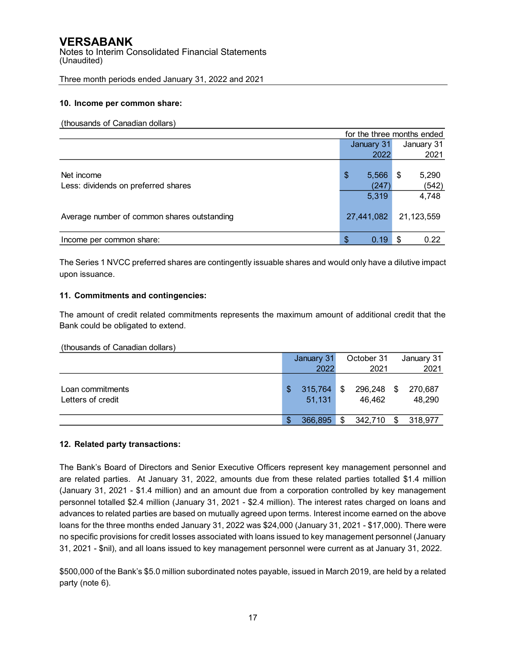Notes to Interim Consolidated Financial Statements (Unaudited)

Three month periods ended January 31, 2022 and 2021

## **10. Income per common share:**

#### (thousands of Canadian dollars)

|                                             |            | for the three months ended |      |            |  |  |  |
|---------------------------------------------|------------|----------------------------|------|------------|--|--|--|
|                                             |            | January 31                 |      | January 31 |  |  |  |
|                                             |            | 2022                       |      | 2021       |  |  |  |
|                                             |            |                            |      |            |  |  |  |
| Net income                                  | \$         | 5,566                      | - \$ | 5,290      |  |  |  |
| Less: dividends on preferred shares         |            | (247)                      |      | (542)      |  |  |  |
|                                             |            | 5,319                      |      | 4,748      |  |  |  |
|                                             |            |                            |      |            |  |  |  |
| Average number of common shares outstanding | 27,441,082 |                            |      | 21,123,559 |  |  |  |
|                                             |            |                            |      |            |  |  |  |
| Income per common share:                    | \$         | 0.19                       | \$.  | 0.22       |  |  |  |

The Series 1 NVCC preferred shares are contingently issuable shares and would only have a dilutive impact upon issuance.

# **11. Commitments and contingencies:**

The amount of credit related commitments represents the maximum amount of additional credit that the Bank could be obligated to extend.

#### (thousands of Canadian dollars)

|                                       |   | January 31        |      | October 31           |     | January 31        |
|---------------------------------------|---|-------------------|------|----------------------|-----|-------------------|
|                                       |   | 2022              | 2021 |                      |     | 2021              |
| Loan commitments<br>Letters of credit | S | 315,764<br>51,131 | \$   | 296,248 \$<br>46,462 |     | 270,687<br>48,290 |
|                                       | S | 366,895           | \$   | 342,710              | \$. | 318,977           |

## **12. Related party transactions:**

The Bank's Board of Directors and Senior Executive Officers represent key management personnel and are related parties. At January 31, 2022, amounts due from these related parties totalled \$1.4 million (January 31, 2021 - \$1.4 million) and an amount due from a corporation controlled by key management personnel totalled \$2.4 million (January 31, 2021 - \$2.4 million). The interest rates charged on loans and advances to related parties are based on mutually agreed upon terms. Interest income earned on the above loans for the three months ended January 31, 2022 was \$24,000 (January 31, 2021 - \$17,000). There were no specific provisions for credit losses associated with loans issued to key management personnel (January 31, 2021 - \$nil), and all loans issued to key management personnel were current as at January 31, 2022.

\$500,000 of the Bank's \$5.0 million subordinated notes payable, issued in March 2019, are held by a related party (note 6).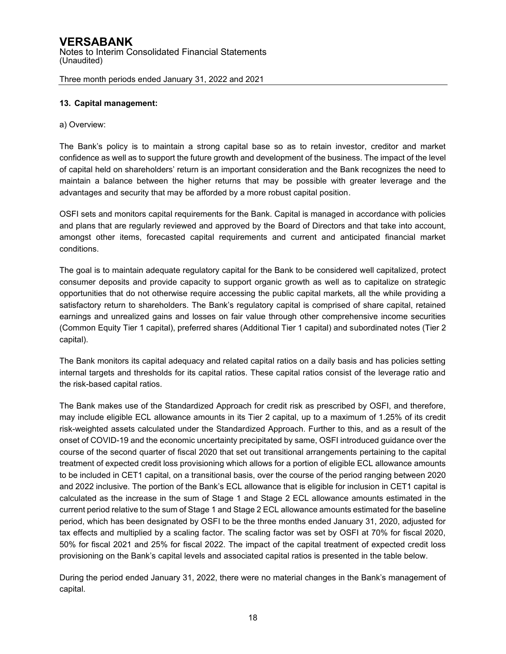## **13. Capital management:**

## a) Overview:

The Bank's policy is to maintain a strong capital base so as to retain investor, creditor and market confidence as well as to support the future growth and development of the business. The impact of the level of capital held on shareholders' return is an important consideration and the Bank recognizes the need to maintain a balance between the higher returns that may be possible with greater leverage and the advantages and security that may be afforded by a more robust capital position.

OSFI sets and monitors capital requirements for the Bank. Capital is managed in accordance with policies and plans that are regularly reviewed and approved by the Board of Directors and that take into account, amongst other items, forecasted capital requirements and current and anticipated financial market conditions.

The goal is to maintain adequate regulatory capital for the Bank to be considered well capitalized, protect consumer deposits and provide capacity to support organic growth as well as to capitalize on strategic opportunities that do not otherwise require accessing the public capital markets, all the while providing a satisfactory return to shareholders. The Bank's regulatory capital is comprised of share capital, retained earnings and unrealized gains and losses on fair value through other comprehensive income securities (Common Equity Tier 1 capital), preferred shares (Additional Tier 1 capital) and subordinated notes (Tier 2 capital).

The Bank monitors its capital adequacy and related capital ratios on a daily basis and has policies setting internal targets and thresholds for its capital ratios. These capital ratios consist of the leverage ratio and the risk-based capital ratios.

The Bank makes use of the Standardized Approach for credit risk as prescribed by OSFI, and therefore, may include eligible ECL allowance amounts in its Tier 2 capital, up to a maximum of 1.25% of its credit risk-weighted assets calculated under the Standardized Approach. Further to this, and as a result of the onset of COVID-19 and the economic uncertainty precipitated by same, OSFI introduced guidance over the course of the second quarter of fiscal 2020 that set out transitional arrangements pertaining to the capital treatment of expected credit loss provisioning which allows for a portion of eligible ECL allowance amounts to be included in CET1 capital, on a transitional basis, over the course of the period ranging between 2020 and 2022 inclusive. The portion of the Bank's ECL allowance that is eligible for inclusion in CET1 capital is calculated as the increase in the sum of Stage 1 and Stage 2 ECL allowance amounts estimated in the current period relative to the sum of Stage 1 and Stage 2 ECL allowance amounts estimated for the baseline period, which has been designated by OSFI to be the three months ended January 31, 2020, adjusted for tax effects and multiplied by a scaling factor. The scaling factor was set by OSFI at 70% for fiscal 2020, 50% for fiscal 2021 and 25% for fiscal 2022. The impact of the capital treatment of expected credit loss provisioning on the Bank's capital levels and associated capital ratios is presented in the table below.

During the period ended January 31, 2022, there were no material changes in the Bank's management of capital.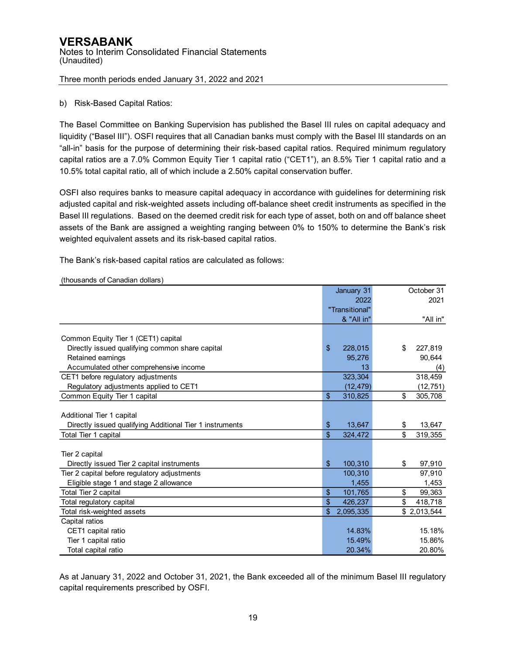# b) Risk-Based Capital Ratios:

The Basel Committee on Banking Supervision has published the Basel III rules on capital adequacy and liquidity ("Basel III"). OSFI requires that all Canadian banks must comply with the Basel III standards on an "all-in" basis for the purpose of determining their risk-based capital ratios. Required minimum regulatory capital ratios are a 7.0% Common Equity Tier 1 capital ratio ("CET1"), an 8.5% Tier 1 capital ratio and a 10.5% total capital ratio, all of which include a 2.50% capital conservation buffer.

OSFI also requires banks to measure capital adequacy in accordance with guidelines for determining risk adjusted capital and risk-weighted assets including off-balance sheet credit instruments as specified in the Basel III regulations. Based on the deemed credit risk for each type of asset, both on and off balance sheet assets of the Bank are assigned a weighting ranging between 0% to 150% to determine the Bank's risk weighted equivalent assets and its risk-based capital ratios.

The Bank's risk-based capital ratios are calculated as follows:

|                                                          |                | January 31     | October 31    |
|----------------------------------------------------------|----------------|----------------|---------------|
|                                                          |                | 2022           | 2021          |
|                                                          |                | "Transitional" |               |
|                                                          |                | & "All in"     | "All in"      |
|                                                          |                |                |               |
| Common Equity Tier 1 (CET1) capital                      |                |                |               |
| Directly issued qualifying common share capital          | $\mathfrak{L}$ | 228,015        | \$<br>227,819 |
| Retained earnings                                        |                | 95,276         | 90,644        |
| Accumulated other comprehensive income                   |                | 13             | (4)           |
| CET1 before regulatory adjustments                       |                | 323,304        | 318,459       |
| Regulatory adjustments applied to CET1                   |                | (12, 479)      | (12, 751)     |
| Common Equity Tier 1 capital                             | \$             | 310,825        | \$<br>305,708 |
|                                                          |                |                |               |
| Additional Tier 1 capital                                |                |                |               |
| Directly issued qualifying Additional Tier 1 instruments | \$             | 13,647         | \$<br>13,647  |
| Total Tier 1 capital                                     | \$             | 324,472        | \$<br>319,355 |
|                                                          |                |                |               |
| Tier 2 capital                                           |                |                |               |
| Directly issued Tier 2 capital instruments               | \$             | 100,310        | \$<br>97,910  |
| Tier 2 capital before regulatory adjustments             |                | 100,310        | 97,910        |
| Eligible stage 1 and stage 2 allowance                   |                | 1.455          | 1,453         |
| Total Tier 2 capital                                     | \$             | 101,765        | \$<br>99,363  |
| Total regulatory capital                                 | \$             | 426,237        | \$<br>418,718 |
| Total risk-weighted assets                               | \$             | 2,095,335      | \$2,013,544   |
| Capital ratios                                           |                |                |               |
| CET1 capital ratio                                       |                | 14.83%         | 15.18%        |
| Tier 1 capital ratio                                     |                | 15.49%         | 15.86%        |
| Total capital ratio                                      |                | 20.34%         | 20.80%        |

(thousands of Canadian dollars)

As at January 31, 2022 and October 31, 2021, the Bank exceeded all of the minimum Basel III regulatory capital requirements prescribed by OSFI.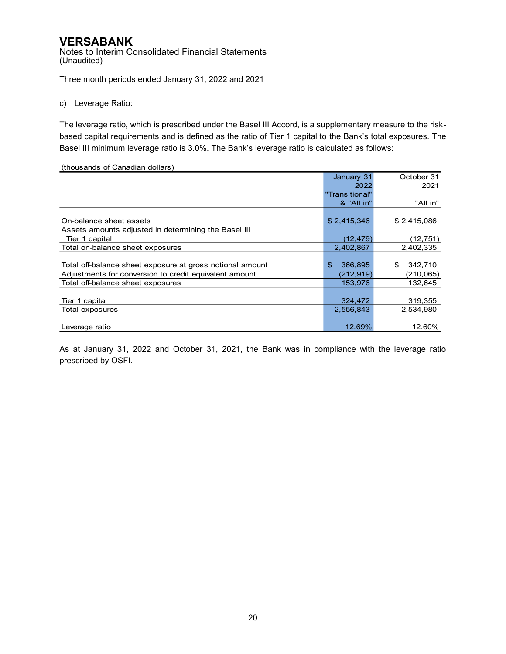#### c) Leverage Ratio:

The leverage ratio, which is prescribed under the Basel III Accord, is a supplementary measure to the riskbased capital requirements and is defined as the ratio of Tier 1 capital to the Bank's total exposures. The Basel III minimum leverage ratio is 3.0%. The Bank's leverage ratio is calculated as follows:

#### (thousands of Canadian dollars)

|                                                           | January 31     | October 31    |
|-----------------------------------------------------------|----------------|---------------|
|                                                           | 2022           | 2021          |
|                                                           | "Transitional" |               |
|                                                           | & "All in"     | "All in"      |
|                                                           |                |               |
| On-balance sheet assets                                   | \$2,415,346    | \$2,415,086   |
| Assets amounts adjusted in determining the Basel III      |                |               |
| Tier 1 capital                                            | (12, 479)      | (12, 751)     |
| Total on-balance sheet exposures                          | 2,402,867      | 2,402,335     |
|                                                           |                |               |
| Total off-balance sheet exposure at gross notional amount | \$<br>366,895  | 342,710<br>\$ |
| Adjustments for conversion to credit equivalent amount    | (212, 919)     | (210, 065)    |
| Total off-balance sheet exposures                         | 153,976        | 132,645       |
|                                                           |                |               |
| Tier 1 capital                                            | 324,472        | 319,355       |
| Total exposures                                           | 2,556,843      | 2,534,980     |
|                                                           |                |               |
| Leverage ratio                                            | 12.69%         | 12.60%        |

As at January 31, 2022 and October 31, 2021, the Bank was in compliance with the leverage ratio prescribed by OSFI.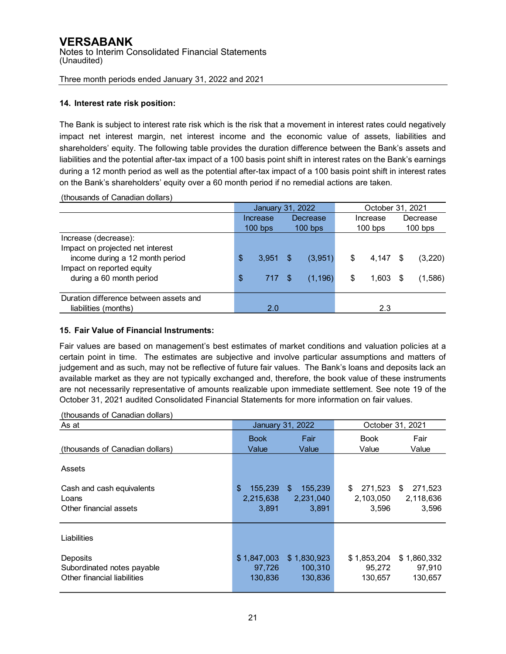#### **14. Interest rate risk position:**

The Bank is subject to interest rate risk which is the risk that a movement in interest rates could negatively impact net interest margin, net interest income and the economic value of assets, liabilities and shareholders' equity. The following table provides the duration difference between the Bank's assets and liabilities and the potential after-tax impact of a 100 basis point shift in interest rates on the Bank's earnings during a 12 month period as well as the potential after-tax impact of a 100 basis point shift in interest rates on the Bank's shareholders' equity over a 60 month period if no remedial actions are taken.

|                                        |                        | January 31, 2022 |          |          | October 31, 2021 |           |          |         |  |  |
|----------------------------------------|------------------------|------------------|----------|----------|------------------|-----------|----------|---------|--|--|
|                                        |                        | Increase         | Decrease |          | Increase         |           | Decrease |         |  |  |
|                                        | $100$ bps<br>$100$ bps |                  |          |          | $100$ bps        | $100$ bps |          |         |  |  |
| Increase (decrease):                   |                        |                  |          |          |                  |           |          |         |  |  |
| Impact on projected net interest       |                        |                  |          |          |                  |           |          |         |  |  |
| income during a 12 month period        | \$                     | $3,951$ \$       |          | (3,951)  | \$               | 4,147     | S.       | (3,220) |  |  |
| Impact on reported equity              |                        |                  |          |          |                  |           |          |         |  |  |
| during a 60 month period               | \$                     | 717              |          | (1, 196) | \$               | 1,603     | \$       | (1,586) |  |  |
|                                        |                        |                  |          |          |                  |           |          |         |  |  |
| Duration difference between assets and |                        |                  |          |          |                  |           |          |         |  |  |
| liabilities (months)                   |                        | 2.0              |          |          |                  | 2.3       |          |         |  |  |

#### **15. Fair Value of Financial Instruments:**

Fair values are based on management's best estimates of market conditions and valuation policies at a certain point in time. The estimates are subjective and involve particular assumptions and matters of judgement and as such, may not be reflective of future fair values. The Bank's loans and deposits lack an available market as they are not typically exchanged and, therefore, the book value of these instruments are not necessarily representative of amounts realizable upon immediate settlement. See note 19 of the October 31, 2021 audited Consolidated Financial Statements for more information on fair values.

#### (thousands of Canadian dollars)

| As at                                                                 |                                     | <b>January 31, 2022</b>                         | October 31, 2021                    |                                     |  |  |  |
|-----------------------------------------------------------------------|-------------------------------------|-------------------------------------------------|-------------------------------------|-------------------------------------|--|--|--|
| (thousands of Canadian dollars)                                       | <b>Book</b><br>Value                | Fair<br>Value                                   | <b>Book</b><br>Value                | Fair<br>Value                       |  |  |  |
| Assets                                                                |                                     |                                                 |                                     |                                     |  |  |  |
| Cash and cash equivalents<br>Loans<br>Other financial assets          | \$<br>155,239<br>2,215,638<br>3,891 | $\mathfrak{S}$<br>155,239<br>2,231,040<br>3,891 | 271,523<br>\$<br>2,103,050<br>3,596 | 271,523<br>\$<br>2,118,636<br>3,596 |  |  |  |
| Liabilities                                                           |                                     |                                                 |                                     |                                     |  |  |  |
| Deposits<br>Subordinated notes payable<br>Other financial liabilities | \$1,847,003<br>97.726<br>130,836    | \$1,830,923<br>100.310<br>130,836               | \$1,853,204<br>95.272<br>130,657    | \$1,860,332<br>97,910<br>130,657    |  |  |  |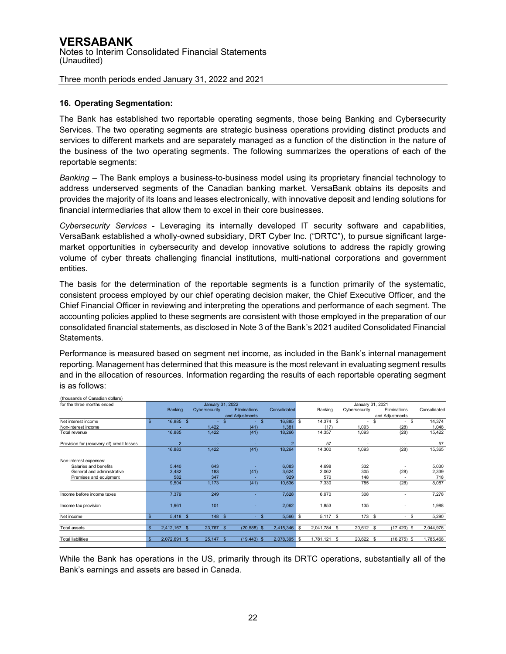## **16. Operating Segmentation:**

The Bank has established two reportable operating segments, those being Banking and Cybersecurity Services. The two operating segments are strategic business operations providing distinct products and services to different markets and are separately managed as a function of the distinction in the nature of the business of the two operating segments. The following summarizes the operations of each of the reportable segments:

*Banking* – The Bank employs a business-to-business model using its proprietary financial technology to address underserved segments of the Canadian banking market. VersaBank obtains its deposits and provides the majority of its loans and leases electronically, with innovative deposit and lending solutions for financial intermediaries that allow them to excel in their core businesses.

*Cybersecurity Services* - Leveraging its internally developed IT security software and capabilities, VersaBank established a wholly-owned subsidiary, DRT Cyber Inc. ("DRTC"), to pursue significant largemarket opportunities in cybersecurity and develop innovative solutions to address the rapidly growing volume of cyber threats challenging financial institutions, multi-national corporations and government entities.

The basis for the determination of the reportable segments is a function primarily of the systematic, consistent process employed by our chief operating decision maker, the Chief Executive Officer, and the Chief Financial Officer in reviewing and interpreting the operations and performance of each segment. The accounting policies applied to these segments are consistent with those employed in the preparation of our consolidated financial statements, as disclosed in Note 3 of the Bank's 2021 audited Consolidated Financial Statements.

Performance is measured based on segment net income, as included in the Bank's internal management reporting. Management has determined that this measure is the most relevant in evaluating segment results and in the allocation of resources. Information regarding the results of each reportable operating segment is as follows:

| for the three months ended                |                |                | January 31, 2022              |                          |              | January 31, 2021 |            |                   |    |                                |              |
|-------------------------------------------|----------------|----------------|-------------------------------|--------------------------|--------------|------------------|------------|-------------------|----|--------------------------------|--------------|
|                                           |                | Banking        | Cybersecurity                 | <b>Eliminations</b>      | Consolidated |                  | Banking    | Cybersecurity     |    | Eliminations                   | Consolidated |
|                                           |                |                |                               | and Adjustments          |              |                  |            |                   |    | and Adjustments                |              |
| Net interest income                       | $\mathsf{s}$   | 16,885 \$      | $\sim$                        | \$<br>$\mathbf{s}$<br>۰. | 16,885 \$    |                  | 14,374 \$  | ٠                 | \$ | \$<br>$\overline{\phantom{a}}$ | 14,374       |
| Non-interest income                       |                |                | 1,422                         | (41)                     | 1,381        |                  | (17)       | 1,093             |    | (28)                           | 1,048        |
| Total revenue                             |                | 16,885         | 1,422                         | (41)                     | 18,266       |                  | 14,357     | 1,093             |    | (28)                           | 15,422       |
| Provision for (recovery of) credit losses |                | $\overline{2}$ |                               |                          |              |                  | 57         |                   |    |                                | 57           |
|                                           |                | 16,883         | 1,422                         | (41)                     | 18,264       |                  | 14,300     | 1,093             |    | (28)                           | 15,365       |
| Non-interest expenses:                    |                |                |                               |                          |              |                  |            |                   |    |                                |              |
| Salaries and benefits                     |                | 5,440          | 643                           |                          | 6,083        |                  | 4,698      | 332               |    |                                | 5,030        |
| General and administrative                |                | 3,482          | 183                           | (41)                     | 3,624        |                  | 2,062      | 305               |    | (28)                           | 2,339        |
| Premises and equipment                    |                | 582            | 347                           |                          | 929          |                  | 570        | 148               |    |                                | 718          |
|                                           |                | 9,504          | 1,173                         | (41)                     | 10,636       |                  | 7,330      | 785               |    | (28)                           | 8,087        |
| Income before income taxes                |                | 7,379          | 249                           |                          | 7,628        |                  | 6,970      | 308               |    |                                | 7,278        |
| Income tax provision                      |                | 1,961          | 101                           |                          | 2,062        |                  | 1,853      | 135               |    |                                | 1,988        |
| Net income                                | \$.            | $5,418$ \$     | 148 \$                        | $-$ \$                   | 5,566        | - \$             | $5,117$ \$ | 173 \$            |    | - \$<br>$\sim$                 | 5,290        |
| <b>Total assets</b>                       | $\mathfrak{L}$ | 2,412,167 \$   | 23.767 \$                     | (20, 588)<br>- \$        | 2,415,346 \$ |                  | 2,041,784  | 20.612 \$<br>- \$ |    | $(17, 420)$ \$                 | 2,044,976    |
|                                           |                |                |                               |                          |              |                  |            |                   |    |                                |              |
| <b>Total liabilities</b>                  | $\mathfrak{s}$ | 2,072,691      | $25,147$ \$<br>$\mathfrak{L}$ | (19, 443)<br>-S          | 2,078,395    | - \$             | 1,781,121  | 20,622<br>- \$    | -S | $(16, 275)$ \$                 | 1,785,468    |

(thousands of Canadian dollars)

While the Bank has operations in the US, primarily through its DRTC operations, substantially all of the Bank's earnings and assets are based in Canada.